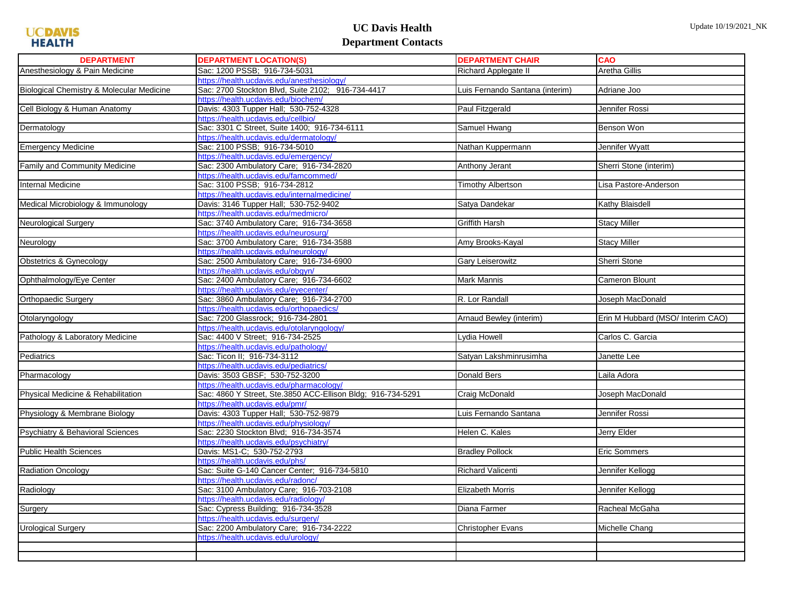## **UC Davis Health Department Contacts**

| <b>DEPARTMENT</b>                         | <b>DEPARTMENT LOCATION(S)</b>                                                       | <b>DEPARTMENT CHAIR</b>         | <b>CAO</b>                        |
|-------------------------------------------|-------------------------------------------------------------------------------------|---------------------------------|-----------------------------------|
| Anesthesiology & Pain Medicine            | Sac: 1200 PSSB; 916-734-5031                                                        | <b>Richard Applegate II</b>     | Aretha Gillis                     |
|                                           | https://health.ucdavis.edu/anesthesiology/                                          |                                 |                                   |
| Biological Chemistry & Molecular Medicine | Sac: 2700 Stockton Blvd, Suite 2102; 916-734-4417                                   | Luis Fernando Santana (interim) | Adriane Joo                       |
|                                           | https://health.ucdavis.edu/biochem/                                                 |                                 |                                   |
| Cell Biology & Human Anatomy              | Davis: 4303 Tupper Hall; 530-752-4328                                               | Paul Fitzgerald                 | Jennifer Rossi                    |
|                                           | https://health.ucdavis.edu/cellbio/                                                 |                                 |                                   |
| Dermatology                               | Sac: 3301 C Street, Suite 1400; 916-734-6111                                        | Samuel Hwang                    | Benson Won                        |
|                                           | https://health.ucdavis.edu/dermatology/                                             |                                 |                                   |
| <b>Emergency Medicine</b>                 | Sac: 2100 PSSB; 916-734-5010                                                        | Nathan Kuppermann               | Jennifer Wyatt                    |
|                                           | https://health.ucdavis.edu/emergency/                                               |                                 |                                   |
| <b>Family and Community Medicine</b>      | Sac: 2300 Ambulatory Care; 916-734-2820                                             | Anthony Jerant                  | Sherri Stone (interim)            |
|                                           | https://health.ucdavis.edu/famcommed/                                               |                                 |                                   |
| Internal Medicine                         | Sac: 3100 PSSB; 916-734-2812                                                        | Timothy Albertson               | Lisa Pastore-Anderson             |
|                                           | https://health.ucdavis.edu/internalmedicine/                                        |                                 |                                   |
| Medical Microbiology & Immunology         | Davis: 3146 Tupper Hall; 530-752-9402                                               | Satya Dandekar                  | Kathy Blaisdell                   |
|                                           | https://health.ucdavis.edu/medmicro/                                                |                                 |                                   |
| Neurological Surgery                      | Sac: 3740 Ambulatory Care; 916-734-3658                                             | Griffith Harsh                  | <b>Stacy Miller</b>               |
|                                           | https://health.ucdavis.edu/neurosurg/                                               |                                 |                                   |
| Neurology                                 | Sac: 3700 Ambulatory Care; 916-734-3588                                             | Amy Brooks-Kayal                | <b>Stacy Miller</b>               |
|                                           | https://health.ucdavis.edu/neurology/                                               |                                 |                                   |
| Obstetrics & Gynecology                   | Sac: 2500 Ambulatory Care; 916-734-6900                                             | Gary Leiserowitz                | Sherri Stone                      |
|                                           | https://health.ucdavis.edu/obgyn/                                                   |                                 |                                   |
| Ophthalmology/Eye Center                  | Sac: 2400 Ambulatory Care; 916-734-6602                                             | Mark Mannis                     | Cameron Blount                    |
|                                           | https://health.ucdavis.edu/eyecenter/                                               | R. Lor Randall                  | Joseph MacDonald                  |
| <b>Orthopaedic Surgery</b>                | Sac: 3860 Ambulatory Care; 916-734-2700<br>https://health.ucdavis.edu/orthopaedics/ |                                 |                                   |
| Otolaryngology                            | Sac: 7200 Glassrock; 916-734-2801                                                   | Arnaud Bewley (interim)         | Erin M Hubbard (MSO/ Interim CAO) |
|                                           | https://health.ucdavis.edu/otolaryngology/                                          |                                 |                                   |
| Pathology & Laboratory Medicine           | Sac: 4400 V Street; 916-734-2525                                                    | Lydia Howell                    | Carlos C. Garcia                  |
|                                           | https://health.ucdavis.edu/pathology/                                               |                                 |                                   |
| Pediatrics                                | Sac: Ticon II; 916-734-3112                                                         | Satyan Lakshminrusimha          | Janette Lee                       |
|                                           | https://health.ucdavis.edu/pediatrics/                                              |                                 |                                   |
| Pharmacology                              | Davis: 3503 GBSF; 530-752-3200                                                      | Donald Bers                     | Laila Adora                       |
|                                           | https://health.ucdavis.edu/pharmacology/                                            |                                 |                                   |
| Physical Medicine & Rehabilitation        | Sac: 4860 Y Street, Ste.3850 ACC-Ellison Bldg; 916-734-5291                         | Craig McDonald                  | Joseph MacDonald                  |
|                                           | https://health.ucdavis.edu/pmr/                                                     |                                 |                                   |
| Physiology & Membrane Biology             | Davis: 4303 Tupper Hall; 530-752-9879                                               | Luis Fernando Santana           | Jennifer Rossi                    |
|                                           | https://health.ucdavis.edu/physiology/                                              |                                 |                                   |
| Psychiatry & Behavioral Sciences          | Sac: 2230 Stockton Blvd; 916-734-3574                                               | Helen C. Kales                  | Jerry Elder                       |
|                                           | https://health.ucdavis.edu/psychiatry/                                              |                                 |                                   |
| <b>Public Health Sciences</b>             | Davis: MS1-C; 530-752-2793                                                          | <b>Bradley Pollock</b>          | <b>Eric Sommers</b>               |
|                                           | https://health.ucdavis.edu/phs/                                                     |                                 |                                   |
| <b>Radiation Oncology</b>                 | Sac: Suite G-140 Cancer Center; 916-734-5810                                        | Richard Valicenti               | Jennifer Kellogg                  |
|                                           | https://health.ucdavis.edu/radonc/                                                  |                                 |                                   |
| Radiology                                 | Sac: 3100 Ambulatory Care; 916-703-2108                                             | Elizabeth Morris                | Jennifer Kellogg                  |
|                                           | https://health.ucdavis.edu/radiology/                                               |                                 |                                   |
| Surgery                                   | Sac: Cypress Building; 916-734-3528                                                 | Diana Farmer                    | Racheal McGaha                    |
|                                           | https://health.ucdavis.edu/surgery/                                                 |                                 |                                   |
| <b>Urological Surgery</b>                 | Sac: 2200 Ambulatory Care; 916-734-2222                                             | <b>Christopher Evans</b>        | Michelle Chang                    |
|                                           | https://health.ucdavis.edu/urology/                                                 |                                 |                                   |
|                                           |                                                                                     |                                 |                                   |
|                                           |                                                                                     |                                 |                                   |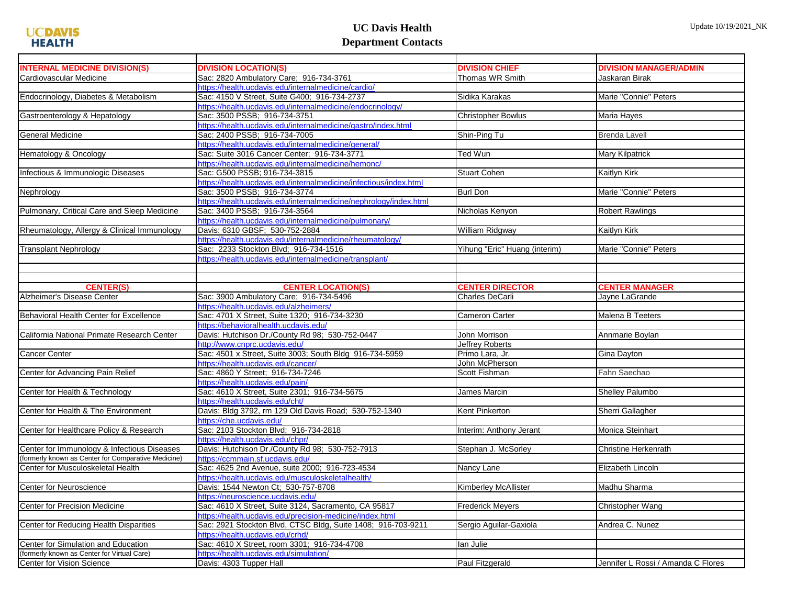## **UC Davis Health Department Contacts**

| <b>INTERNAL MEDICINE DIVISION(S)</b>                | <b>DIVISION LOCATION(S)</b>                                       | <b>DIVISION CHIEF</b>         | <b>DIVISION MANAGER/ADMIN</b>      |
|-----------------------------------------------------|-------------------------------------------------------------------|-------------------------------|------------------------------------|
| Cardiovascular Medicine                             | Sac: 2820 Ambulatory Care; 916-734-3761                           | Thomas WR Smith               | Jaskaran Birak                     |
|                                                     | https://health.ucdavis.edu/internalmedicine/cardio/               |                               |                                    |
| Endocrinology, Diabetes & Metabolism                | Sac: 4150 V Street, Suite G400; 916-734-2737                      | Sidika Karakas                | Marie "Connie" Peters              |
|                                                     | https://health.ucdavis.edu/internalmedicine/endocrinology/        |                               |                                    |
| Gastroenterology & Hepatology                       | Sac: 3500 PSSB; 916-734-3751                                      | <b>Christopher Bowlus</b>     | Maria Hayes                        |
|                                                     | https://health.ucdavis.edu/internalmedicine/gastro/index.html     |                               |                                    |
| <b>General Medicine</b>                             | Sac: 2400 PSSB; 916-734-7005                                      | Shin-Ping Tu                  | <b>Brenda Lavell</b>               |
|                                                     | https://health.ucdavis.edu/internalmedicine/general/              |                               |                                    |
| Hematology & Oncology                               | Sac: Suite 3016 Cancer Center; 916-734-3771                       | Ted Wun                       | Mary Kilpatrick                    |
|                                                     | https://health.ucdavis.edu/internalmedicine/hemonc/               |                               |                                    |
| Infectious & Immunologic Diseases                   | Sac: G500 PSSB; 916-734-3815                                      | <b>Stuart Cohen</b>           | Kaitlyn Kirk                       |
|                                                     | https://health.ucdavis.edu/internalmedicine/infectious/index.html |                               |                                    |
| Nephrology                                          | Sac: 3500 PSSB; 916-734-3774                                      | Burl Don                      | Marie "Connie" Peters              |
|                                                     | https://health.ucdavis.edu/internalmedicine/nephrology/index.html |                               |                                    |
| Pulmonary, Critical Care and Sleep Medicine         | Sac: 3400 PSSB; 916-734-3564                                      | Nicholas Kenyon               | <b>Robert Rawlings</b>             |
|                                                     | https://health.ucdavis.edu/internalmedicine/pulmonary/            |                               |                                    |
| Rheumatology, Allergy & Clinical Immunology         | Davis: 6310 GBSF; 530-752-2884                                    | William Ridgway               | Kaitlyn Kirk                       |
|                                                     | https://health.ucdavis.edu/internalmedicine/rheumatology/         |                               |                                    |
| <b>Transplant Nephrology</b>                        | Sac: 2233 Stockton Blvd; 916-734-1516                             | Yihung "Eric" Huang (interim) | Marie "Connie" Peters              |
|                                                     | https://health.ucdavis.edu/internalmedicine/transplant/           |                               |                                    |
|                                                     |                                                                   |                               |                                    |
|                                                     |                                                                   |                               |                                    |
| <b>CENTER(S)</b>                                    | <b>CENTER LOCATION(S)</b>                                         | <b>CENTER DIRECTOR</b>        | <b>CENTER MANAGER</b>              |
|                                                     |                                                                   |                               |                                    |
| Alzheimer's Disease Center                          | Sac: 3900 Ambulatory Care; 916-734-5496                           | Charles DeCarli               | Jayne LaGrande                     |
|                                                     | https://health.ucdavis.edu/alzheimers/                            |                               |                                    |
| Behavioral Health Center for Excellence             | Sac: 4701 X Street, Suite 1320; 916-734-3230                      | Cameron Carter                | Malena B Teeters                   |
|                                                     | https://behavioralhealth.ucdavis.edu/                             |                               |                                    |
| California National Primate Research Center         | Davis: Hutchison Dr./County Rd 98; 530-752-0447                   | John Morrison                 | Annmarie Boylan                    |
|                                                     | http://www.cnprc.ucdavis.edu/                                     | Jeffrey Roberts               |                                    |
| Cancer Center                                       | Sac: 4501 x Street, Suite 3003; South Bldg 916-734-5959           | Primo Lara, Jr.               | Gina Dayton                        |
|                                                     | https://health.ucdavis.edu/cancer/                                | John McPherson                |                                    |
| Center for Advancing Pain Relief                    | Sac: 4860 Y Street; 916-734-7246                                  | Scott Fishman                 | Fahn Saechao                       |
|                                                     | https://health.ucdavis.edu/pain/                                  |                               |                                    |
| Center for Health & Technology                      | Sac: 4610 X Street, Suite 2301; 916-734-5675                      | James Marcin                  | <b>Shelley Palumbo</b>             |
|                                                     | https://health.ucdavis.edu/cht/                                   |                               |                                    |
| Center for Health & The Environment                 | Davis: Bldg 3792, rm 129 Old Davis Road; 530-752-1340             | Kent Pinkerton                | Sherri Gallagher                   |
|                                                     | https://che.ucdavis.edu/                                          |                               |                                    |
| Center for Healthcare Policy & Research             | Sac: 2103 Stockton Blvd; 916-734-2818                             | Interim: Anthony Jerant       | Monica Steinhart                   |
|                                                     | https://health.ucdavis.edu/chpr/                                  |                               |                                    |
| Center for Immunology & Infectious Diseases         | Davis: Hutchison Dr./County Rd 98; 530-752-7913                   | Stephan J. McSorley           | Christine Herkenrath               |
| (formerly known as Center for Comparative Medicine) | https://ccmmain.sf.ucdavis.edu/                                   |                               |                                    |
| Center for Musculoskeletal Health                   | Sac: 4625 2nd Avenue, suite 2000; 916-723-4534                    | Nancy Lane                    | Elizabeth Lincoln                  |
|                                                     | https://health.ucdavis.edu/musculoskeletalhealth/                 |                               |                                    |
| Center for Neuroscience                             | Davis: 1544 Newton Ct; 530-757-8708                               | Kimberley McAllister          | Madhu Sharma                       |
|                                                     | https://neuroscience.ucdavis.edu/                                 |                               |                                    |
| <b>Center for Precision Medicine</b>                | Sac: 4610 X Street, Suite 3124, Sacramento, CA 95817              | <b>Frederick Meyers</b>       | Christopher Wang                   |
|                                                     | https://health.ucdavis.edu/precision-medicine/index.html          |                               |                                    |
| Center for Reducing Health Disparities              | Sac: 2921 Stockton Blvd, CTSC Bldg, Suite 1408; 916-703-9211      | Sergio Aguilar-Gaxiola        | Andrea C. Nunez                    |
|                                                     | https://health.ucdavis.edu/crhd/                                  |                               |                                    |
| Center for Simulation and Education                 | Sac: 4610 X Street, room 3301; 916-734-4708                       | lan Julie                     |                                    |
| (formerly known as Center for Virtual Care)         | https://health.ucdavis.edu/simulation/                            |                               |                                    |
| Center for Vision Science                           | Davis: 4303 Tupper Hall                                           | Paul Fitzgerald               | Jennifer L Rossi / Amanda C Flores |
|                                                     |                                                                   |                               |                                    |